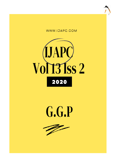





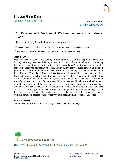

RESEARCH ARTICLE www.ijapc.com

**e-ISSN 2350-0204**

# **An Experimental Analysis of Withania somnifera on Estrous Cycle**

Niketa Shantikar<sup>1\*</sup>, Suchetha Kumari<sup>2</sup> and Sudhakar Bhat<sup>3</sup>

<sup>1,2</sup>Dept of Prasuti Tantra and Stree Roga, SDM College of Ayurveda and Hospital Udupi, KA, India

3SDM Research Centre, SDM College of Ayurveda and Hospital Udupi, KA, India

## **ABSTRACT**

India, the world's second large country of population of 1.3 billion people after china (1.4 billion) has always fascinated demographers . And now, with the united nations forecasting that India's population will go faster than china's as early as 2022, it looks like the country may well be ready to detonate at its seams. However, few know about an entirely unexpected problem that is currently bedevilling Asia's third largest economy - a considerable decline in its fertility rate. When the fertility rate dips this number, the population is expected to decline. Modern treatment modalities cannot be used continuously due to their side effects.Thus this study was done to evaluate the effect of hydroalcoholic extract and ksheerpaka of Withania somnifera on estrous cycle in female wistar albino rats were orally administered with extract of Withania somnifera 2000 mg/kg body weight /day for 21 days .Results of the present study showed a significance increase in the weight of the uterus and in weight of the ovary was observed in treated group .Further estrous cycle length was observed to be regular and increased .In conclusion , this study suggests that the hydroalcoholic extract of roots of withania somnifera possess ovulatory activity after treating with norethisterone acetate..

## **KEYWORDS**

*Withania somnifera, Estrous cycle, Ovary, Uterus, Ovulatory activity*



Received 13/05/2020 Accepted 07/08/2020 Published 10/09/2020

\_\_\_\_\_\_\_\_\_\_\_\_\_\_\_\_\_\_\_\_\_\_\_\_\_\_\_\_\_\_\_\_\_\_\_\_\_\_\_\_\_\_\_\_\_\_\_\_\_\_\_\_\_\_\_\_\_\_\_\_\_\_\_\_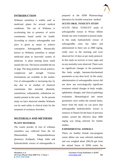

## **INTRODUCTION**

Withania somnifera is widely used as medicinal plants for several medical conditions. The use of Withania is accelerating due to presence of active constituents found useful for health. According to classics *ashwagandha* root juice is given as *nasya* to achieve conception. *Ashwagandha*. Botanically known as Withania somnifera is unique medicinal plant in *Ayurvedic* system of medicine. A plant emiting horse smell mainly the root. The leaves resemble the ear of pigs. The drug promote sexual potency, complexion and strength .Various formulations are available in the market. Use of *ashwagandha* is increasing day by day due to its number of chemical constituents like steroidal alkaloids, somniferine, withanaloids, withaferine etc mainly present in the roots. In the present study we have observed whether Withania can be used safely in clinical trials for the treatment of ovulatory disorders.

# **MATERIALS AND METHODS PLANT MATERIAL**

The coarse powder of root of withania somnifera was collected from the Sri Dharmasthala Manjunatheshwara pharmacy, Kuthpady, Udupi, India and hydroalcoholic extract of *ashwagandha* is prepared at the SDM Pharmacology laboratory by Soxhlet extraction method .

## **ACUTE ORAL TOXICITY STUDY**

ACUTE ORAL TOXICITY study of *ashwagandha* extract in Wistar Albino female rats were evaluated in present study. In this study hydroalcholic extract of *ashwagandha* roots has taken and administered to three rats at 2000 mg/kg, orally once in the morning and were observed for 14 days as per study protocol. In this study no toxicity or toxic signs and no any mortality were observed .There were no significant changes in the parameters like body weight, haemato-biocheminal parameters at any dose level. In this study, administration of *ashwagandha* extract did not show any toxicologically significant treatment related changes in body weight, ophthalmic changes, and clinical pathology evaluation. Hematological and serum parameters were within the normal limits, hence from the study we can prove that *ashwagandha* hydroalcoholic extract is nontoxic in Nature.On the basis of previous studies carried the effective dose 2000 mg/kg was being selected for further studies.

### **EXPERIMENTAL ANIMALS**

 $\mathcal{L}_\mathcal{L}$  , and the contribution of the contribution of the contribution of the contribution of the contribution of the contribution of the contribution of the contribution of the contribution of the contribution of

Thirty six healthy female non-pregnant wistar albino rats were selected randomly and was weighed about 200±50 gm from the animal house of SDM centre for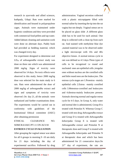

research in *ayurveda* and allied sciences, kuthpady, Udupi. Rats were marked for identification and housed in polypropylene cages. Animals were maintained under hygienic conditions and they were provided with commercial food pellets and tap water. Added labium cleaning and sanitation work were done on alternate days. Paddy husk had provided as bedding material, which was changed every day.

For experiment designed to determine oral LD<sup>50</sup> of *ashwagandha* extract study was done on three rats which was administered 2000 mg/kg .Signs of toxicity were observed for 14 days. No toxic effects were observed in this study; hence 2000 mg/kg dose was selected for the main study in 6 rats. Rats were administered the dose of 2000 mg/kg of *ashwagandha* extract and signs and symptoms of toxicity were observed .On day 21, all the animals were euthanized and further examinations done. The experiments would be carried out in conformity with guidelines of the Institutional Ethical committee (IAEC) after obtaining permission

ETHICAL CLEARANCE NO. SDMCRA/IAEC/PT-11 ON 26/3/18

### **ESTROUS CYCLE EVALUATION**

After grouping the vaginal smear was taken for all 6 groups in morning 9 -10 am daily for 21 days including the day of experimental sacrifice. Followed by drug

 $\mathcal{L}_\mathcal{L}$  , and the contribution of the contribution of the contribution of the contribution of the contribution of the contribution of the contribution of the contribution of the contribution of the contribution of

administration. Vaginal secretion collected with a plastic micropippete filled with normal saline by inserting the tip into the rat vagina but not deeply .Vaginal smear are to be placed on glass slide .A different glass slide has to be used for each animal. One drop is collected with a clean tip from each rat. And stained with methylene blue dye ,stained material was to be observed under a light microscope with 10x and 40x objective lenses .A normal estrous cycle in rats was defined as 4-5 days.Three types of cells to be recognized i.e round and nucleated ones are epithelial cells ,irregular ones without nucleus are the cornified cells and little round ones are the leukocytes .The estrous cycle stages are 1.Proestrus –mainly epithelial cells 2.Estrus –mainly cornified cells 3.Metestrus-cornified and leukocytes and 4.diestrus-mainly leukocytes present. Animals showing normal and regular estrus cycle for 4-5 days. In Group A, only water and normal diet is administered, Group B is treated with Primolut N. Whereas Group C treated with test drug *Ashwagandha* extract and Group D is treated with *Ashwagandha ksheerpaka* Group E is treated with *Ashwagandha* extract and Primolut N at therapeutic dose and Group F is treated with *Ashwagandha ksheerpaka* and Primolut N at therapeutic dose and which has been administered for 21 consecutive days.On  $21<sup>st</sup>$  day of experiment, the rats are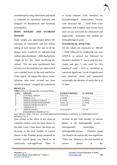

anesthetised by using chloroform and blood is collected by retrorbital puncture and assigned for biochemical and hormonal investigation.

## **BODY WEIGHT AND OVARIAN WEIGHT**

Body weight was determined before the initiation of experiment and just before killing of each animal .The rats of all the groups were scarificed by administering sodium phenobarbitone , 2000 mg/kg body weight on  $21<sup>st</sup>$  day . After sacrificing the animal , The rats were anesthetised then incision over the abdomen was taken which was extended above to the neck and below to the vagina , the organs like uterus ,ovary, fallopian tube were excised out from sacrificed animal , weighed and transferred

#### **RESULTS**

|  | Table 1 Effect of Ashwagandha on Estrous Phases |
|--|-------------------------------------------------|
|  |                                                 |

to fixing solution (10% formalin) for histopathological examinations. Ovaries were dissected out , freed from extra deposition and weighed and ovaries from each rat was processed for cholesterol and triglyceride estimation and another for histopathological study.

### **STATISTICAL ANALYSIS**

All the values are expressed as MEAN +\_SEM followed by employing one way ANOVA as statical test followed by Dennett's multiple "t" test as post hoc test. Graph pad inst 3 was used for this purpose.P value  $\langle 0.05 \rangle$  is considered as statistical significant. Level of significance was observed, noted and interpreted accordingly the duration of study that is of 21 days.

| S.NO | <b>GROUPS</b>                 | <b>ESTROUS PHASES</b> | % CHANGE                      |
|------|-------------------------------|-----------------------|-------------------------------|
|      | <b>CONTROL GROUP</b>          | $7.8 + 1.241$         | $\cdots$                      |
|      | PRIMOLUT N                    | $5.5 \pm 0.99$        | $29.48 \downarrow (a)$        |
|      | ASHWAGANDHA EXTRACT           | $8.2 \pm 0.96$        | 5.182 $\uparrow$ ( <i>a</i> ) |
|      | ASHWAGANDHA KSHEERPAKA        | $10.4 + 1.32$         | $33.33 \uparrow (a)$          |
|      | ASHWAGANDHA EXTRACT           | $3.3 \pm 0.918$       | 40!#                          |
|      | $+$ PRIMOLUT N                |                       |                               |
|      | <i>ASHWAGANDHA</i>            | $13.4 \pm 0.6782**$   | 143.#61                       |
|      | <i>KSHEERPAKA</i> +PRIMOLUT N |                       |                               |

Data: MEAN ± SEM, \*\*P<0.01 @-COMPARED WITH NORMAL CONTROL #- COMPARED WITH PROMOLUTE N Data related to the effect of test drug on

 $\mathcal{L}_\mathcal{L}$  , and the contribution of the contribution of the contribution of the contribution of the contribution of the contribution of the contribution of the contribution of the contribution of the contribution of

complete estrous cycle has been shown in the table 1 and 2. Data shows that there was decrease in the total number of estrous phases in the Primolut group compared to normal control group was found to be statistically non-significant .There is

increase in the total number of estrous phases in the *Ashwagandha* extract , *Ashwagandha ksheerpaka* , *Ashwagandha*.Extract + Primolut group was found to be statistically non-significant .There was increase in the total number of estrous phases in the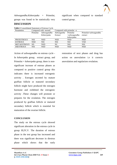

*Ashwagandha.Ksheerpaka* + Primolut, groups was found to be statistically very

significant when compared to standard control group .

## **DISCUSSION**

**Table 2** Consolidated Statement of Estrous Cycle

| Parameters         | Compared with normal |             | Compared with primolut $-n$ |                |                      |
|--------------------|----------------------|-------------|-----------------------------|----------------|----------------------|
|                    | Primolut             | Ashwagandha | Ashwaganha                  | Primolut       | Primolut+ashwagandha |
|                    |                      | Ksheerpaka  | Extract                     | $+ashwagandha$ | extract              |
|                    |                      |             |                             | ksheerpaka     |                      |
| <b>PROESTROUS</b>  | <b>NSI</b>           | NSD         | <b>NSD</b>                  | NSD            | <b>NSD</b>           |
| <b>ESTROUS</b>     | <b>NSD</b>           | NSI         | <b>NSI</b>                  | <b>NSI</b>     | <b>VSD</b>           |
| <b>METAESTROUS</b> | SD.                  | <b>NSD</b>  | NC                          | <b>NSI</b>     | <b>NSI</b>           |
| <b>DIESTROUS</b>   | <b>NSI</b>           | NSD         | <b>NSD</b>                  | NSD            | <b>NSD</b>           |
|                    |                      |             |                             |                |                      |

 $\mathcal{L}_\mathcal{L}$  , and the contribution of the contribution of the contribution of the contribution of the contribution of the contribution of the contribution of the contribution of the contribution of the contribution of

Action of *ashwagandha* on estrous cycle **-** In *ksheerpaka* group, extract group, and Primolut + *ksheerpaka* group, there is nonsignificant increase of estrous phases as compared to positive control group this indicates there is increased estrogenic activity . Estrogen secreted by mature graffian follicle or matured secondary follicle might have produced the estrogen hormone and exhibited the estrogenic activity .These changes will promote or prepares for the ovulation. The estrogen produced by graffian follicle or matured secondary follicle which is essential for maturation of the ovarian follicle.

#### **CONCLUSION**

The study on the estrous cycle showed significant alteration in the estrous cycle in group III,IV,V. The duration of estrous phase in the test group has increased and there was significant decrease in diestrus phase which shows that the early

restoration of next phases and drug has action on anovulation i.e it corrects anovulation and regularizes ovulation.